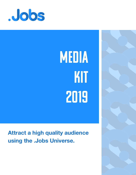

# MEDIA KIT 2019

### **Attract a high quality audience using the .Jobs Universe.**

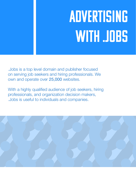## ADVERTISING With .JOBS

.Jobs is a top level domain and publisher focused on serving job seekers and hiring professionals. We own and operate over 25,000 websites.

With a highly qualified audience of job seekers, hiring professionals, and organization decision makers, .Jobs is useful to individuals and companies.

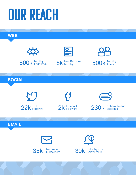## OUR REACH

**WEB**





800k Monthly

8k New Resumes



**SOCIAL**



**G** 2k Facebook<br>2k Followers



230k Push Notification

### **EMAIL**



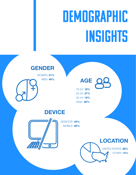## **DEMOGRAPHIC INSIGHTS**

### **GENDER**

WOMEN: **51%** MEN: **49%**

### **AGE**

18-24: **18%** 25-34: **37%** 35-44: **19%** Other: **26%**

### **DEVICE**



DESKTOP: **40%** MOBILE: **60%**

> **LOCATION** UNITED STATES: **86%** OTHER: **14%**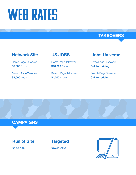## WEB RATES

#### **TAKEOVERS**

#### **Network Site**

Home Page Takeover: **\$5,000** /month

Search Page Takeover: **\$2,000** /week

#### **US.JOBS**

Home Page Takeover: **\$10,000** /month

Search Page Takeover: **\$4,000** /week

#### **.Jobs Universe**

Home Page Takeover: **Call for pricing**

Search Page Takeover: **Call for pricing**

#### **CAMPAIGNS**

#### **Run of Site**

**\$5.00** CPM



**\$10.00** CPM

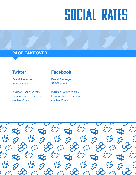## SOCIAL RATES

#### **PAGE TAKEOVER**

**Brand Package \$1,000** /month

Includes Banner, Weekly Branded Tweets, Branded Content Share

#### **Twitter Facebook**

**Brand Package \$2,000** /month

Includes Banner, Weekly Branded Tweets, Branded Content Share

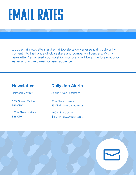### EMAIL RATES

.Jobs email newsletters and email job alerts deliver essential, trustworthy content into the hands of job seekers and company influencers. With a newsletter / email alert sponsorship, your brand will be at the forefront of our eager and active career focused audience.

#### **Newsletter Daily Job Alerts**

Released Monthly

50% Share of Voice: **\$30** CPM

100% Share of Voice: **\$25** CPM

Sold in 4 week packages

50% Share of Voice **\$5** CPM (120,000 impressions)

100% Share of Voice **\$4** CPM (240,000 impressions)